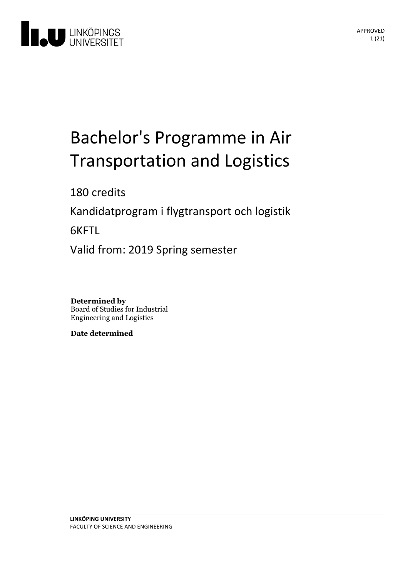

# Bachelor's Programme in Air Transportation and Logistics

180 credits

Kandidatprogram i flygtransport och logistik

6KFTL

Valid from: 2019 Spring semester

**Determined by** Board of Studies for Industrial Engineering and Logistics

**Date determined**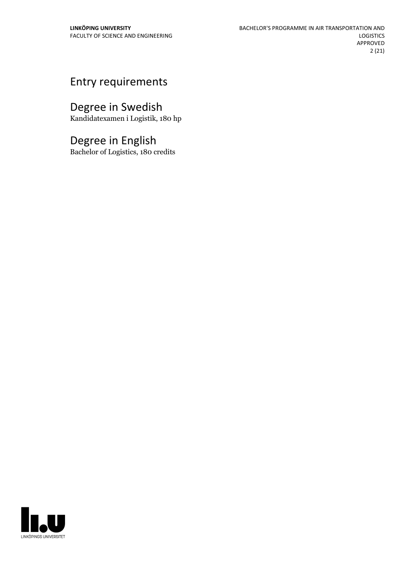## Entry requirements

## Degree in Swedish

Kandidatexamen i Logistik, 180 hp

## Degree in English

Bachelor of Logistics, 180 credits

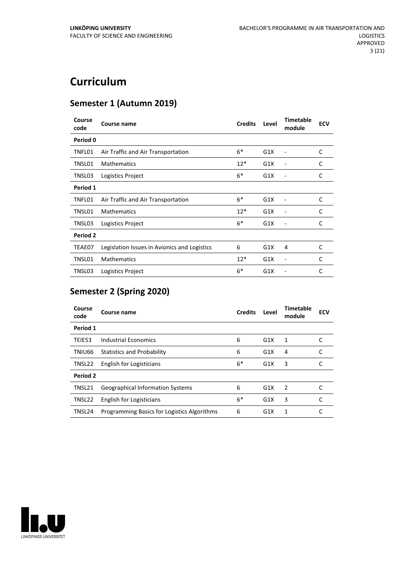## **Curriculum**

## **Semester 1 (Autumn 2019)**

| Course<br>code | Course name                                  | <b>Credits</b> | Level | <b>Timetable</b><br>module | <b>ECV</b> |
|----------------|----------------------------------------------|----------------|-------|----------------------------|------------|
| Period 0       |                                              |                |       |                            |            |
| TNFL01         | Air Traffic and Air Transportation           | $6*$           | G1X   |                            | C          |
| TNSL01         | <b>Mathematics</b>                           | $12*$          | G1X   |                            | C          |
| TNSL03         | Logistics Project                            | $6*$           | G1X   |                            | C          |
| Period 1       |                                              |                |       |                            |            |
| TNFL01         | Air Traffic and Air Transportation           | $6*$           | G1X   |                            | C          |
| TNSL01         | <b>Mathematics</b>                           | $12*$          | G1X   | ٠                          | C          |
| TNSL03         | Logistics Project                            | $6*$           | G1X   |                            | C          |
| Period 2       |                                              |                |       |                            |            |
| TEAE07         | Legislation Issues in Avionics and Logistics | 6              | G1X   | 4                          | C          |
| TNSL01         | <b>Mathematics</b>                           | $12*$          | G1X   | ٠                          | C          |
| TNSL03         | Logistics Project                            | $6*$           | G1X   |                            | C          |

## **Semester 2 (Spring 2020)**

| Course<br>code | Course name                                 | <b>Credits</b> | Level            | Timetable<br>module | <b>ECV</b> |
|----------------|---------------------------------------------|----------------|------------------|---------------------|------------|
| Period 1       |                                             |                |                  |                     |            |
| TEIE53         | Industrial Economics                        | 6              | G1X              | 1                   |            |
| TNIU66         | <b>Statistics and Probability</b>           | 6              | G1X              | 4                   |            |
| TNSL22         | English for Logisticians                    | $6*$           | G1X              | 3                   |            |
| Period 2       |                                             |                |                  |                     |            |
| TNSL21         | <b>Geographical Information Systems</b>     | 6              | G1X              | $\mathcal{P}$       |            |
| TNSL22         | English for Logisticians                    | $6*$           | G1X              | 3                   | C          |
| TNSL24         | Programming Basics for Logistics Algorithms | 6              | G <sub>1</sub> X | 1                   |            |

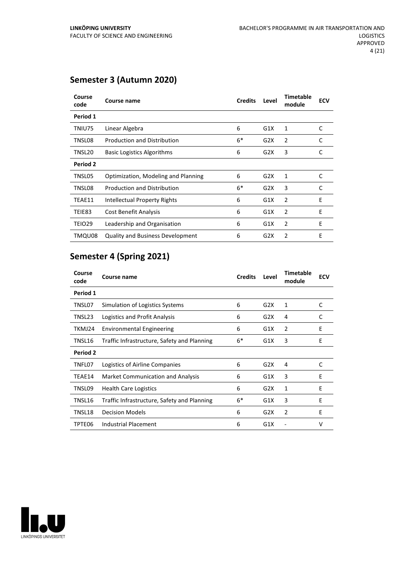## **Semester 3 (Autumn 2020)**

| Course<br>code | Course name                             | <b>Credits</b> | Level | <b>Timetable</b><br>module | <b>ECV</b> |
|----------------|-----------------------------------------|----------------|-------|----------------------------|------------|
| Period 1       |                                         |                |       |                            |            |
| TNIU75         | Linear Algebra                          | 6              | G1X   | 1                          | C          |
| TNSL08         | <b>Production and Distribution</b>      | $6*$           | G2X   | $\overline{2}$             | C          |
| TNSL20         | <b>Basic Logistics Algorithms</b>       | 6              | G2X   | 3                          | C          |
| Period 2       |                                         |                |       |                            |            |
| TNSL05         | Optimization, Modeling and Planning     | 6              | G2X   | 1                          | C          |
| TNSL08         | <b>Production and Distribution</b>      | $6*$           | G2X   | 3                          | C          |
| TEAE11         | Intellectual Property Rights            | 6              | G1X   | 2                          | Ε          |
| TEIE83         | <b>Cost Benefit Analysis</b>            | 6              | G1X   | $\overline{2}$             | E          |
| TEIO29         | Leadership and Organisation             | 6              | G1X   | $\overline{2}$             | Ε          |
| TMQU08         | <b>Quality and Business Development</b> | 6              | G2X   | 2                          | Ε          |

## **Semester 4 (Spring 2021)**

| Course<br>code  | Course name                                 | <b>Credits</b> | Level | <b>Timetable</b><br>module | <b>ECV</b> |
|-----------------|---------------------------------------------|----------------|-------|----------------------------|------------|
| Period 1        |                                             |                |       |                            |            |
| TNSL07          | Simulation of Logistics Systems             | 6              | G2X   | $\mathbf{1}$               | C          |
| TNSL23          | Logistics and Profit Analysis               | 6              | G2X   | 4                          | C          |
| TKMJ24          | <b>Environmental Engineering</b>            | 6              | G1X   | $\overline{2}$             | Ε          |
| TNSL16          | Traffic Infrastructure, Safety and Planning | $6*$           | G1X   | 3                          | E          |
| <b>Period 2</b> |                                             |                |       |                            |            |
| TNFL07          | Logistics of Airline Companies              | 6              | G2X   | 4                          | C          |
| TEAE14          | Market Communication and Analysis           | 6              | G1X   | 3                          | E          |
| TNSL09          | <b>Health Care Logistics</b>                | 6              | G2X   | 1                          | E          |
| TNSL16          | Traffic Infrastructure, Safety and Planning | $6*$           | G1X   | 3                          | E          |
| TNSL18          | <b>Decision Models</b>                      | 6              | G2X   | $\overline{2}$             | E          |
| TPTE06          | <b>Industrial Placement</b>                 | 6              | G1X   |                            | v          |

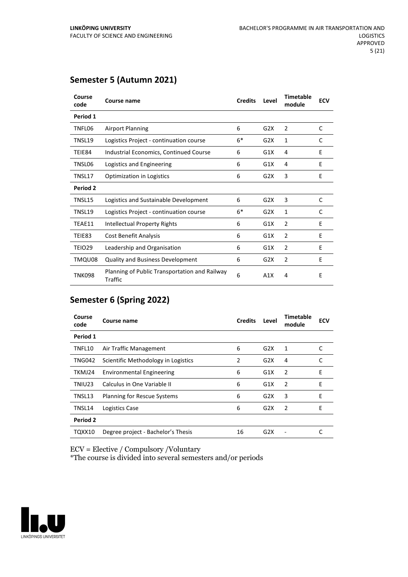| Course<br>code  | Course name                                                     | <b>Credits</b> | Level | <b>Timetable</b><br>module | <b>ECV</b> |
|-----------------|-----------------------------------------------------------------|----------------|-------|----------------------------|------------|
| Period 1        |                                                                 |                |       |                            |            |
| TNFL06          | <b>Airport Planning</b>                                         | 6              | G2X   | $\overline{2}$             | C          |
| TNSL19          | Logistics Project - continuation course                         | $6*$           | G2X   | 1                          | C          |
| TEIE84          | Industrial Economics, Continued Course                          | 6              | G1X   | 4                          | E          |
| TNSL06          | Logistics and Engineering                                       | 6              | G1X   | 4                          | E          |
| TNSL17          | <b>Optimization in Logistics</b>                                | 6              | G2X   | 3                          | E          |
| <b>Period 2</b> |                                                                 |                |       |                            |            |
| TNSL15          | Logistics and Sustainable Development                           | 6              | G2X   | 3                          | C          |
| TNSL19          | Logistics Project - continuation course                         | $6*$           | G2X   | 1                          | C          |
| TEAE11          | <b>Intellectual Property Rights</b>                             | 6              | G1X   | 2                          | E          |
| TEIE83          | Cost Benefit Analysis                                           | 6              | G1X   | $\overline{2}$             | E          |
| <b>TEIO29</b>   | Leadership and Organisation                                     | 6              | G1X   | 2                          | E          |
| TMQU08          | Quality and Business Development                                | 6              | G2X   | $\overline{2}$             | E          |
| <b>TNK098</b>   | Planning of Public Transportation and Railway<br><b>Traffic</b> | 6              | A1X   | 4                          | E          |

## **Semester 5 (Autumn 2021)**

## **Semester 6 (Spring 2022)**

| Course<br>code | Course name                         | <b>Credits</b> | Level            | <b>Timetable</b><br>module | <b>ECV</b> |
|----------------|-------------------------------------|----------------|------------------|----------------------------|------------|
| Period 1       |                                     |                |                  |                            |            |
| TNFL10         | Air Traffic Management              | 6              | G2X              | 1                          | C          |
| <b>TNG042</b>  | Scientific Methodology in Logistics | 2              | G2X              | 4                          |            |
| TKMJ24         | <b>Environmental Engineering</b>    | 6              | G1X              | 2                          | E          |
| TNIU23         | Calculus in One Variable II         | 6              | G1X              | $\overline{2}$             | E          |
| TNSL13         | Planning for Rescue Systems         | 6              | G2X              | 3                          | E          |
| TNSL14         | Logistics Case                      | 6              | G2X              | 2                          | E          |
| Period 2       |                                     |                |                  |                            |            |
| TQXX10         | Degree project - Bachelor's Thesis  | 16             | G <sub>2</sub> X |                            |            |

ECV = Elective / Compulsory /Voluntary

\*The course is divided into several semesters and/or periods

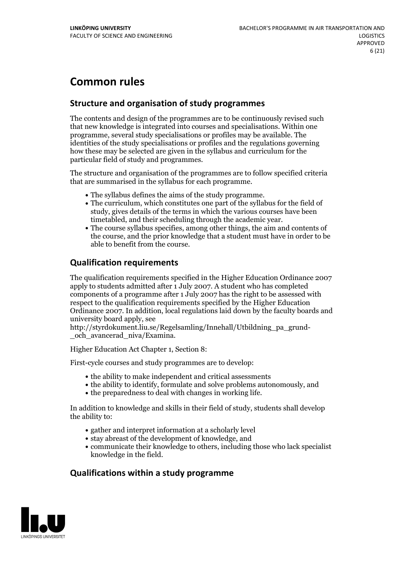## **Common rules**

## **Structure and organisation of study programmes**

The contents and design of the programmes are to be continuously revised such that new knowledge is integrated into courses and specialisations. Within one programme, several study specialisations or profiles may be available. The identities of the study specialisations or profiles and the regulations governing how these may be selected are given in the syllabus and curriculum for the particular field of study and programmes.

The structure and organisation of the programmes are to follow specified criteria that are summarised in the syllabus for each programme.

- 
- The syllabus defines the aims of the study programme.<br>• The curriculum, which constitutes one part of the syllabus for the field of study, gives details of the terms in which the various courses have been
- The course syllabus specifies, among other things, the aim and contents of the course, and the prior knowledge that a student must have in order to be able to benefit from the course.

## **Qualification requirements**

The qualification requirements specified in the Higher Education Ordinance 2007 apply to students admitted after 1 July 2007. A student who has completed components of a programme after 1 July 2007 has the right to be assessed with respect to the qualification requirements specified by the Higher Education Ordinance 2007. In addition, local regulations laid down by the faculty boards and university board apply, see

http://styrdokument.liu.se/Regelsamling/Innehall/Utbildning\_pa\_grund- \_och\_avancerad\_niva/Examina.

Higher Education Act Chapter 1, Section 8:

First-cycle courses and study programmes are to develop:

- the ability to make independent and critical assessments
- the ability to identify, formulate and solve problems autonomously, and
- $\bullet$  the preparedness to deal with changes in working life.

In addition to knowledge and skills in their field of study, students shall develop the ability to:

- gather and interpret information at a scholarly level
- stay abreast of the development of knowledge, and
- communicate their knowledge to others, including those who lack specialist knowledge in the field.

## **Qualifications within a study programme**

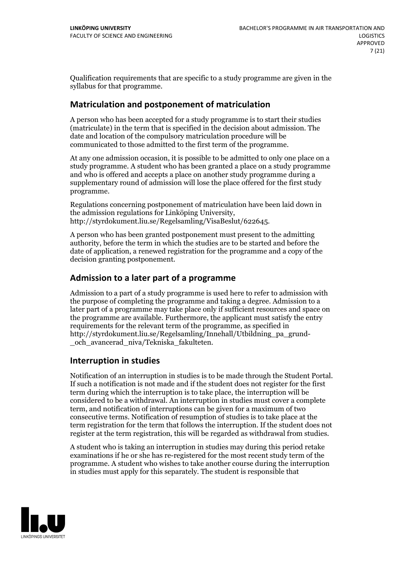Qualification requirements that are specific to a study programme are given in the syllabus for that programme.

## **Matriculation and postponement of matriculation**

A person who has been accepted for a study programme is to start their studies (matriculate) in the term that is specified in the decision about admission. The date and location of the compulsory matriculation procedure will be communicated to those admitted to the first term of the programme.

At any one admission occasion, it is possible to be admitted to only one place on a study programme. A student who has been granted a place on a study programme and who is offered and accepts a place on another study programme during a supplementary round of admission will lose the place offered for the first study programme.

Regulations concerning postponement of matriculation have been laid down in the admission regulations for Linköping University, http://styrdokument.liu.se/Regelsamling/VisaBeslut/622645.

A person who has been granted postponement must present to the admitting authority, before the term in which the studies are to be started and before the date of application, a renewed registration for the programme and a copy of the decision granting postponement.

## **Admission to a later part of a programme**

Admission to a part of a study programme is used here to refer to admission with the purpose of completing the programme and taking a degree. Admission to a later part of a programme may take place only if sufficient resources and space on the programme are available. Furthermore, the applicant must satisfy the entry requirements for the relevant term of the programme, as specified in http://styrdokument.liu.se/Regelsamling/Innehall/Utbildning\_pa\_grund- \_och\_avancerad\_niva/Tekniska\_fakulteten.

## **Interruption in studies**

Notification of an interruption in studies is to be made through the Student Portal. If such <sup>a</sup> notification is not made and if the student does not register for the first term during which the interruption is to take place, the interruption will be considered to be a withdrawal. An interruption in studies must cover a complete term, and notification of interruptions can be given for a maximum of two consecutive terms. Notification of resumption of studies is to take place at the term registration for the term that follows the interruption. If the student does not register at the term registration, this will be regarded as withdrawal from studies.

A student who is taking an interruption in studies may during this period retake examinations if he or she has re-registered for the most recent study term of the programme. A student who wishes to take another course during the interruption in studies must apply for this separately. The student is responsible that

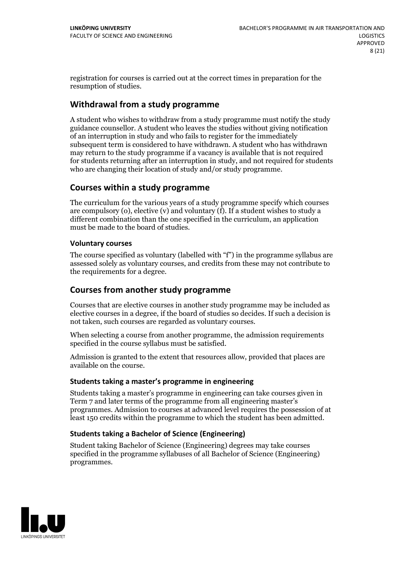registration for courses is carried outat the correct times in preparation for the resumption of studies.

## **Withdrawal from a study programme**

A student who wishes to withdraw from a study programme must notify the study guidance counsellor. A student who leaves the studies without giving notification of an interruption in study and who fails to register for the immediately subsequent term is considered to have withdrawn. A student who has withdrawn may return to the study programme if a vacancy is available that is not required for students returning after an interruption in study, and notrequired for students who are changing their location of study and/or study programme.

## **Courses within a study programme**

The curriculum for the various years of a study programme specify which courses are compulsory (o), elective (v) and voluntary (f). If a student wishes to study a different combination than the one specified in the curriculum, an application must be made to the board of studies.

## **Voluntarycourses**

The course specified as voluntary (labelled with "f") in the programme syllabus are assessed solely as voluntary courses, and credits from these may not contribute to the requirements for a degree.

## **Courses from another study programme**

Courses that are elective courses in another study programme may be included as elective courses in a degree, if the board of studies so decides. If such a decision is not taken, such courses are regarded as voluntary courses.

When selecting a course from another programme, the admission requirements specified in the course syllabus must be satisfied.

Admission is granted to the extent that resources allow, provided that places are available on the course.

## **Students taking a master's programme in engineering**

Students taking a master's programme in engineering can take courses given in Term 7 and later terms of the programme from all engineering master's programmes. Admission to courses at advanced level requires the possession of at least 150 credits within the programme to which the student has been admitted.

## **Students taking a Bachelor of Science (Engineering)**

Student taking Bachelor of Science (Engineering) degrees may take courses specified in the programme syllabuses of all Bachelor of Science (Engineering) programmes.

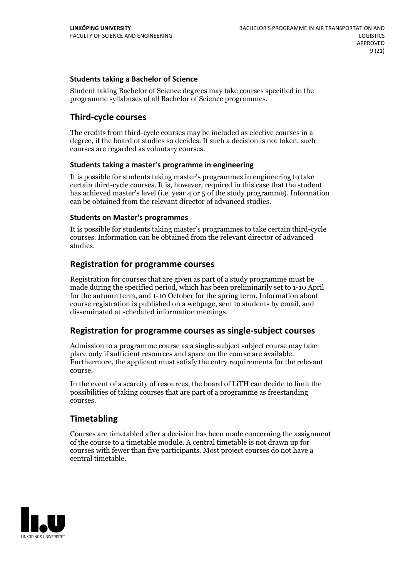## **Students taking a Bachelor of Science**

Student taking Bachelor of Science degrees may take courses specified in the programme syllabuses of all Bachelor of Science programmes.

## **Third-cycle courses**

The credits from third-cycle courses may be included as elective courses in a degree, if the board of studies so decides. If such a decision is not taken, such courses are regarded as voluntary courses.

## **Students taking a master's programme in engineering**

It is possible for students taking master's programmes in engineering to take certain third-cycle courses. It is, however, required in this case that the student has achieved master's level (i.e. year 4 or 5 of the study programme). Information can be obtained from the relevant director of advanced studies.

#### **Students on Master's programmes**

It is possible for students taking master's programmes to take certain third-cycle courses. Information can be obtained from the relevant director of advanced studies.

## **Registration for programme courses**

Registration for courses that are given as part of a study programme must be made during the specified period, which has been preliminarily set to 1-10 April for the autumn term, and 1-10 October for the spring term. Information about course registration is published on a webpage, sent to students by email, and disseminated at scheduled information meetings.

## **Registration for programme courses as single-subject courses**

Admission to a programme course as a single-subject subject course may take place only if sufficient resources and space on the course are available. Furthermore, the applicant must satisfy the entry requirements for the relevant course.

In the event of a scarcity of resources, the board of LiTH can decide to limit the possibilities of taking courses that are part of a programme as freestanding courses.

## **Timetabling**

Courses are timetabled after a decision has been made concerning the assignment of the course to a timetable module. A central timetable is not drawn up for courses with fewer than five participants. Most project courses do not have a central timetable.

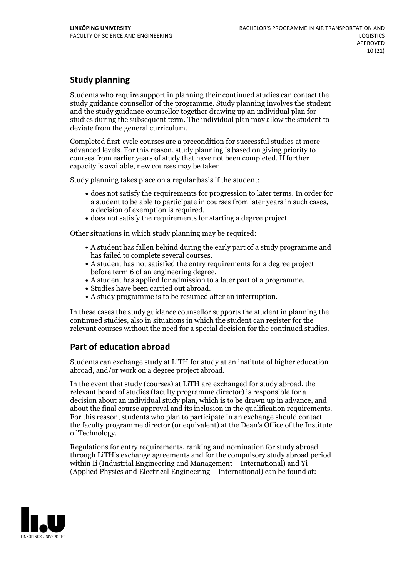## **Study planning**

Students who require support in planning their continued studies can contact the study guidance counsellor of the programme. Study planning involves the student and the study guidance counsellor together drawing up an individual plan for studies during the subsequent term. The individual plan may allow the student to deviate from the general curriculum.

Completed first-cycle courses are a precondition for successful studies at more advanced levels. For this reason, study planning is based on giving priority to courses from earlier years of study that have not been completed. If further capacity is available, new courses may be taken.

Study planning takes place on a regular basis if the student:

- does not satisfy the requirements for progression to later terms. In order for a student to be able to participate in courses from later years in such cases, a decision of exemption is required.<br>
• does not satisfy the requirements for starting a degree project.
- 

Other situations in which study planning may be required:

- A student has fallen behind during the early part of a study programme and has failed to complete several courses.<br>• A student has not satisfied the entry requirements for a degree project
- 
- before term 6 of an engineering degree.<br>• A student has applied for admission to a later part of a programme.<br>• Studies have been carried out abroad.<br>• A study programme is to be resumed after an interruption.
- 
- 

In these cases the study guidance counsellor supports the student in planning the continued studies, also in situations in which the student can register for the relevant courses without the need for a special decision for the continued studies.

## **Part of education abroad**

Students can exchange study at LiTH for study at an institute of higher education abroad, and/or work on a degree project abroad.

In the event that study (courses) at LiTH are exchanged for study abroad, the relevant board of studies (faculty programme director) is responsible for a decision about an individual study plan, which is to be drawn up in advance, and about the final course approval and its inclusion in the qualification requirements. For this reason, students who plan to participate in an exchange should contact the faculty programme director (or equivalent) at the Dean's Office ofthe Institute of Technology.

Regulations for entry requirements, ranking and nomination for study abroad through LiTH's exchange agreements and for the compulsory study abroad period within Ii (Industrial Engineering and Management – International) and Yi (Applied Physics and Electrical Engineering – International) can be found at:

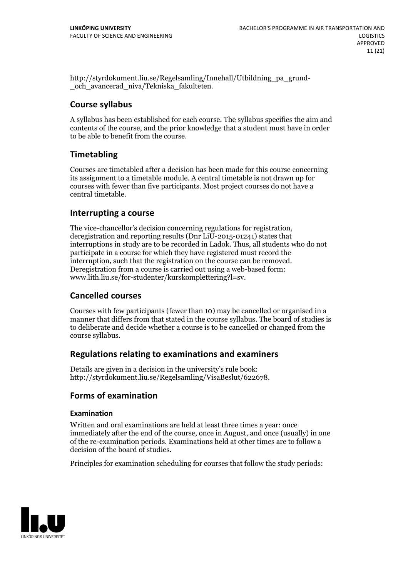http://styrdokument.liu.se/Regelsamling/Innehall/Utbildning\_pa\_grund- \_och\_avancerad\_niva/Tekniska\_fakulteten.

## **Course syllabus**

A syllabus has been established for each course. The syllabus specifies the aim and contents of the course, and the prior knowledge that a student must have in order to be able to benefit from the course.

## **Timetabling**

Courses are timetabled after a decision has been made for this course concerning its assignment to a timetable module. A central timetable is not drawn up for courses with fewer than five participants. Most project courses do not have a central timetable.

## **Interrupting a course**

The vice-chancellor's decision concerning regulations for registration, deregistration and reporting results (Dnr LiU-2015-01241) states that interruptions in study are to be recorded in Ladok. Thus, all students who do not participate in a course for which they have registered must record the interruption, such that the registration on the course can be removed. Deregistration from <sup>a</sup> course is carried outusing <sup>a</sup> web-based form: www.lith.liu.se/for-studenter/kurskomplettering?l=sv.

## **Cancelled courses**

Courses with few participants (fewer than 10) may be cancelled or organised in a manner that differs from that stated in the course syllabus. The board of studies is to deliberate and decide whether a course is to be cancelled orchanged from the course syllabus.

## **Regulations relatingto examinations and examiners**

Details are given in a decision in the university's rule book: http://styrdokument.liu.se/Regelsamling/VisaBeslut/622678.

## **Forms of examination**

## **Examination**

Written and oral examinations are held at least three times a year: once immediately after the end of the course, once in August, and once (usually) in one of the re-examination periods. Examinations held at other times are to follow a decision of the board of studies.

Principles for examination scheduling for courses that follow the study periods:

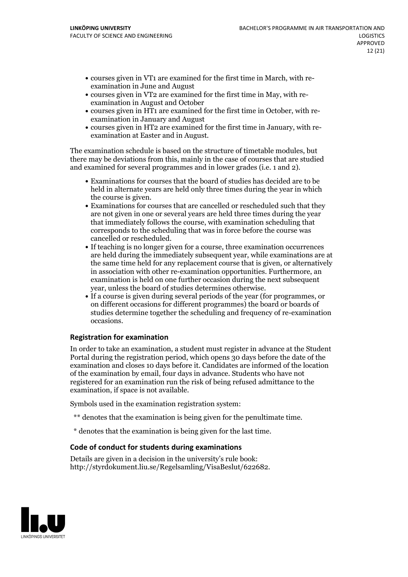- courses given in VT1 are examined for the first time in March, with re-examination in June and August
- courses given in VT2 are examined for the first time in May, with re-examination in August and October
- courses given in HT1 are examined for the first time in October, with re-examination in January and August
- courses given in HT2 are examined for the first time in January, with re-examination at Easter and in August.

The examination schedule is based on the structure of timetable modules, but there may be deviations from this, mainly in the case of courses that are studied and examined for several programmes and in lower grades (i.e. 1 and 2).

- Examinations for courses that the board of studies has decided are to be held in alternate years are held only three times during the year in which
- the course is given.<br>• Examinations for courses that are cancelled or rescheduled such that they are not given in one or several years are held three times during the year that immediately follows the course, with examination scheduling that corresponds to the scheduling that was in force before the course was cancelled or rescheduled.<br>• If teaching is no longer given for a course, three examination occurrences
- are held during the immediately subsequent year, while examinations are at the same time held for any replacement course that is given, or alternatively in association with other re-examination opportunities. Furthermore, an examination is held on one further occasion during the next subsequent
- year, unless the board of studies determines otherwise.<br>If a course is given during several periods of the year (for programmes, or on different occasions for different programmes) the board orboards of studies determine together the scheduling and frequency of re-examination occasions.

## **Registration for examination**

In order to take an examination, a student must register in advance at the Student Portal during the registration period, which opens 30 days before the date of the examination and closes 10 days before it. Candidates are informed of the location of the examination by email, four days in advance. Students who have not registered for an examination run the risk of being refused admittance to the examination, if space is not available.

Symbols used in the examination registration system:

- \*\* denotes that the examination is being given for the penultimate time.
- \* denotes that the examination is being given for the last time.

#### **Code of conduct for students during examinations**

Details are given in a decision in the university's rule book: http://styrdokument.liu.se/Regelsamling/VisaBeslut/622682.

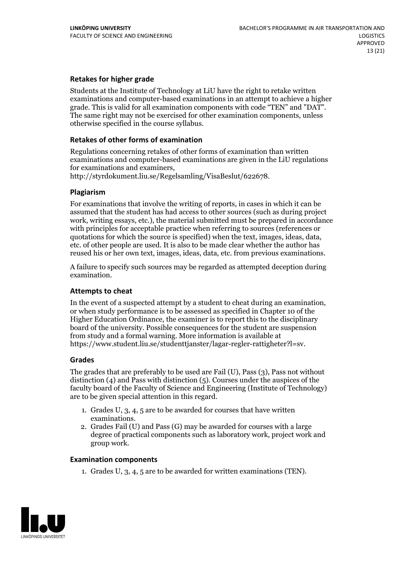## **Retakes for higher grade**

Students at the Institute of Technology at LiU have the right to retake written examinations and computer-based examinations in an attempt to achieve a higher grade. This is valid for all examination components with code "TEN" and "DAT". The same right may not be exercised for other examination components, unless otherwise specified in the course syllabus.

#### **Retakes of other forms of examination**

Regulations concerning retakes of other forms of examination than written examinations and computer-based examinations are given in the LiU regulations for examinations and examiners, http://styrdokument.liu.se/Regelsamling/VisaBeslut/622678.

#### **Plagiarism**

For examinations that involve the writing of reports, in cases in which it can be assumed that the student has had access to other sources (such as during project work, writing essays, etc.), the material submitted must be prepared in accordance with principles for acceptable practice when referring to sources (references or quotations for which the source is specified) when the text, images, ideas, data, etc. of other people are used. It is also to be made clear whether the author has reused his or her own text, images, ideas, data, etc. from previous examinations.

A failure to specify such sources may be regarded as attempted deception during examination.

#### **Attempts to cheat**

In the event of <sup>a</sup> suspected attempt by <sup>a</sup> student to cheat during an examination, or when study performance is to be assessed as specified in Chapter <sup>10</sup> of the Higher Education Ordinance, the examiner is to report this to the disciplinary board of the university. Possible consequences for the student are suspension from study and a formal warning. More information is available at https://www.student.liu.se/studenttjanster/lagar-regler-rattigheter?l=sv.

#### **Grades**

The grades that are preferably to be used are Fail (U), Pass (3), Pass not without distinction  $(4)$  and Pass with distinction  $(5)$ . Courses under the auspices of the faculty board of the Faculty of Science and Engineering (Institute of Technology) are to be given special attention in this regard.

- 1. Grades U, 3, 4, 5 are to be awarded for courses that have written
- examinations. 2. Grades Fail (U) and Pass (G) may be awarded for courses with <sup>a</sup> large degree of practical components such as laboratory work, project work and group work.

#### **Examination components**

1. Grades U, 3, 4, 5 are to be awarded for written examinations (TEN).

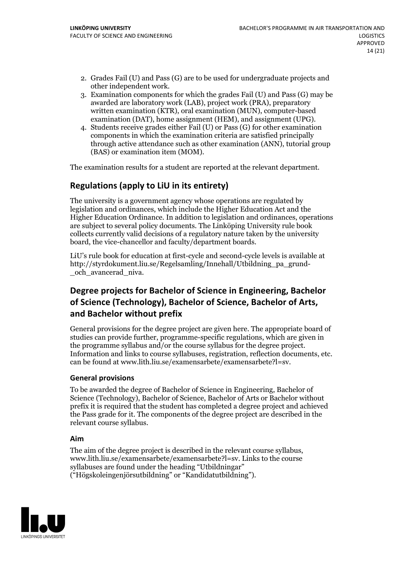- 2. Grades Fail (U) and Pass (G) are to be used for undergraduate projects and other independent work. 3. Examination components for which the grades Fail (U) and Pass (G) may be
- awarded are laboratory work (LAB), project work (PRA), preparatory written examination (KTR), oral examination (MUN), computer-based examination (DAT), home assignment (HEM), and assignment (UPG). 4. Students receive grades either Fail (U) or Pass (G) for other examination
- components in which the examination criteria are satisfied principally through active attendance such as other examination (ANN), tutorial group (BAS) or examination item (MOM).

The examination results for a student are reported at the relevant department.

## **Regulations (applyto LiU in its entirety)**

The university is a government agency whose operations are regulated by legislation and ordinances, which include the Higher Education Act and the Higher Education Ordinance. In addition to legislation and ordinances, operations are subject to several policy documents. The Linköping University rule book collects currently valid decisions of a regulatory nature taken by the university board, the vice-chancellor and faculty/department boards.

LiU's rule book for education at first-cycle and second-cycle levels is available at http://styrdokument.liu.se/Regelsamling/Innehall/Utbildning\_pa\_grund- \_och\_avancerad\_niva.

## **Degree projects for Bachelor of Science in Engineering, Bachelor ofScience (Technology), Bachelor ofScience, Bachelor of Arts, and Bachelor without prefix**

General provisions for the degree project are given here. The appropriate board of studies can provide further, programme-specific regulations, which are given in the programme syllabus and/or the course syllabus for the degree project. Information and links to course syllabuses, registration, reflection documents, etc. can be found at www.lith.liu.se/examensarbete/examensarbete?l=sv.

## **General provisions**

To be awarded the degree of Bachelor of Science in Engineering, Bachelor of Science (Technology), Bachelor of Science, Bachelor of Arts or Bachelor without prefix it is required that the student has completed a degree project and achieved the Pass grade for it. The components of the degree project are described in the relevant course syllabus.

## **Aim**

The aim of the degree project is described in the relevant course syllabus, www.lith.liu.se/examensarbete/examensarbete?l=sv. Links to the course syllabuses are found under the heading "Utbildningar" ("Högskoleingenjörsutbildning" or "Kandidatutbildning").

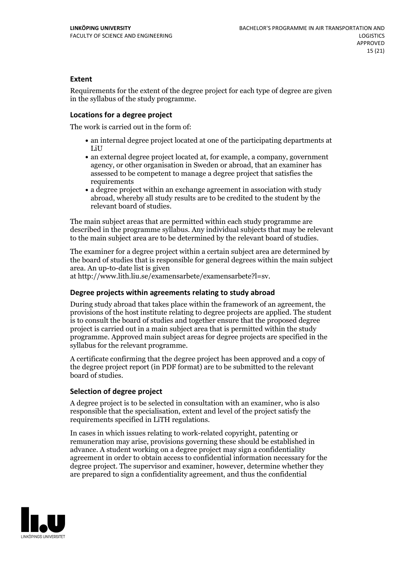#### **Extent**

Requirements for the extent of the degree project for each type of degree are given in the syllabus of the study programme.

#### **Locations for a degree project**

The work is carried out in the form of:

- an internal degree project located at one of the participating departments at LiU
- an external degree project located at, for example, a company, government agency, or other organisation in Sweden or abroad, that an examiner has assessed to be competent to manage a degree project that satisfies the requirements
- a degree project within an exchange agreement in association with study abroad, whereby all study results are to be credited to the student by the relevant board of studies.

The main subject areas that are permitted within each study programme are described in the programme syllabus. Any individual subjects that may be relevant to the main subject area are to be determined by the relevant board of studies.

The examiner for a degree project within a certain subject area are determined by the board of studies that is responsible for general degrees within the main subject area. An up-to-date list is given

at http://www.lith.liu.se/examensarbete/examensarbete?l=sv.

#### **Degree projects within agreements relatingto study abroad**

During study abroad that takes place within the framework of an agreement, the provisions of the host institute relating to degree projects are applied. The student is to consult the board of studies and together ensure that the proposed degree project is carried outin a main subject area that is permitted within the study programme. Approved main subject areas for degree projects are specified in the syllabus for the relevant programme.

A certificate confirming that the degree project has been approved and a copy of the degree project report (in PDF format) are to be submitted to the relevant board of studies.

#### **Selection of degree project**

A degree project is to be selected in consultation with an examiner, who is also responsible that the specialisation, extent and level of the project satisfy the requirements specified in LiTH regulations.

In cases in which issues relating to work-related copyright, patenting or remuneration may arise, provisions governing these should be established in advance. A student working on a degree project may sign a confidentiality agreement in order to obtain access to confidential information necessary for the degree project. The supervisor and examiner, however, determine whether they are prepared to sign a confidentiality agreement, and thus the confidential

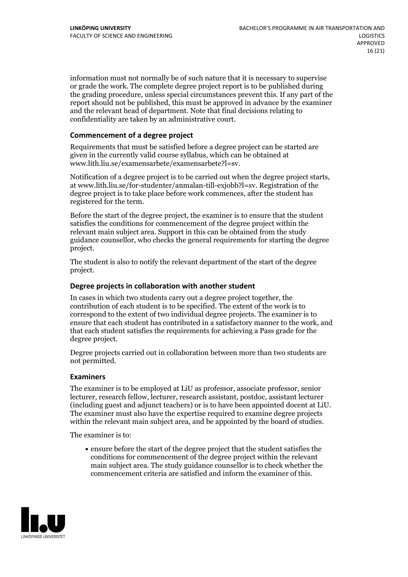information must not normally be of such nature that it is necessary to supervise or grade the work. The complete degree project report is to be published during the grading procedure, unless special circumstances prevent this. If any part of the report should not be published, this must be approved in advance by the examiner and the relevant head of department. Note that final decisions relating to confidentiality are taken by an administrative court.

#### **Commencement of a degree project**

Requirements that must be satisfied before a degree project can be started are given in the currently valid course syllabus, which can be obtained at www.lith.liu.se/examensarbete/examensarbete?l=sv.

Notification of <sup>a</sup> degree project is to be carried outwhen the degree project starts, at www.lith.liu.se/for-studenter/anmalan-till-exjobb?l=sv. Registration of the degree project is to take place before work commences, after the student has registered for the term.

Before the start of the degree project, the examiner is to ensure that the student satisfies the conditions for commencement of the degree project within the relevant main subject area. Support in this can be obtained from the study guidance counsellor, who checks the general requirements for starting the degree project.

The student is also to notify the relevant department of the start of the degree project.

#### **Degree projects in collaboration with another student**

In cases in which two students carry out a degree project together, the contribution of each student is to be specified. The extent of the work is to correspond to the extent of two individual degree projects. The examiner is to ensure that each student has contributed in a satisfactory manner to the work, and that each student satisfies the requirements for achieving a Pass grade for the degree project.

Degree projects carried out in collaboration between more than two students are not permitted.

#### **Examiners**

The examiner is to be employed at LiU as professor, associate professor, senior lecturer, research fellow, lecturer, research assistant, postdoc, assistant lecturer (including guest and adjunct teachers) or is to have been appointed docent at LiU. The examiner must also have the expertise required to examine degree projects within the relevant main subject area, and be appointed by the board of studies.

The examiner is to:

ensure before the start of the degree project that the student satisfies the conditions for commencement of the degree project within the relevant main subject area. The study guidance counsellor is to check whether the commencement criteria are satisfied and inform the examiner of this.

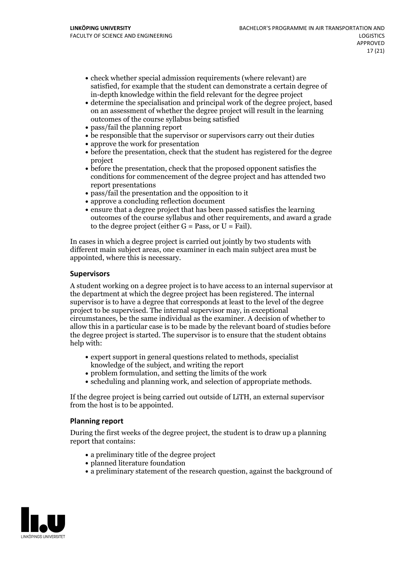- check whether special admission requirements (where relevant) are satisfied, for example that the student can demonstrate a certain degree of in-depth knowledge within the field relevant for the degree project
- determine the specialisation and principal work of the degree project, based on an assessment of whether the degree project will result in the learning outcomes of the course syllabus being satisfied
- pass/fail the planning report
- be responsible that the supervisor or supervisors carry out their duties
- approve the work for presentation
- before the presentation, check that the student has registered for the degree project
- before the presentation, check that the proposed opponent satisfies the conditions for commencement of the degree project and has attended two report presentations
- pass/fail the presentation and the opposition to it
- approve a concluding reflection document
- ensure that a degree project that has been passed satisfies the learning outcomes of the course syllabus and other requirements, and award a grade to the degree project (either  $G = Pass$ , or  $U = Fail$ ).

In cases in which a degree project is carried out jointly by two students with different main subject areas, one examiner in each main subject area must be appointed, where this is necessary.

#### **Supervisors**

A student working on a degree project is to have access to an internal supervisor at the department at which the degree project has been registered. The internal supervisor is to have a degree that corresponds at least to the level of the degree project to be supervised. The internal supervisor may, in exceptional circumstances, be the same individual as the examiner. A decision of whether to allow this in a particular case is to be made by the relevant board of studies before the degree project is started. The supervisor is to ensure that the student obtains help with:

- expert support in general questions related to methods, specialist knowledge of the subject, and writing the report
- problem formulation, and setting the limits of the work
- scheduling and planning work, and selection of appropriate methods.

If the degree project is being carried out outside of LiTH, an external supervisor from the host is to be appointed.

#### **Planning report**

During the first weeks of the degree project, the student is to draw up a planning report that contains:

- $\bullet$  a preliminary title of the degree project
- planned literature foundation
- a preliminary statement of the research question, against the background of

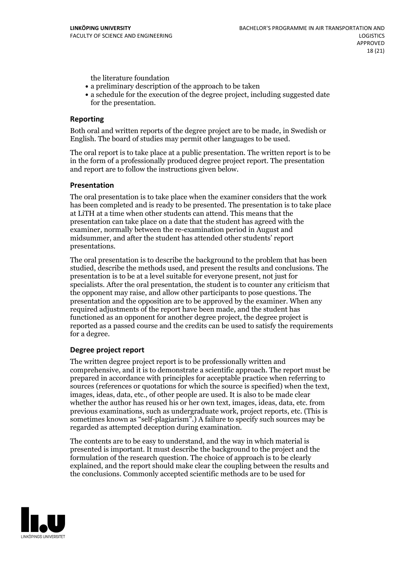the literature foundation

- a preliminary description of the approach to be taken
- a schedule for the execution of the degree project, including suggested date for the presentation.

#### **Reporting**

Both oral and written reports of the degree project are to be made, in Swedish or English. The board of studies may permit other languages to be used.

The oral report is to take place at a public presentation. The written report is to be in the form of a professionally produced degree project report. The presentation and report are to follow the instructions given below.

#### **Presentation**

The oral presentation is to take place when the examiner considers that the work has been completed and is ready to be presented. The presentation is to take place at LiTH at a time when other students can attend. This means that the presentation can take place on a date that the student has agreed with the examiner, normally between the re-examination period in August and midsummer, and after the student has attended other students' report presentations.

The oral presentation is to describe the background to the problem that has been studied, describe the methods used, and present the results and conclusions. The presentation is to be at a level suitable for everyone present, not just for specialists. After the oral presentation, the student is to counter any criticism that the opponent may raise, and allow other participants to pose questions. The presentation and the opposition are to be approved by the examiner. When any required adjustments of the report have been made, and the student has functioned as an opponent for another degree project, the degree project is reported as a passed course and the credits can be used to satisfy the requirements for a degree.

#### **Degree project report**

The written degree project report is to be professionally written and comprehensive, and it is to demonstrate a scientific approach. The report must be prepared in accordance with principles for acceptable practice when referring to sources (references or quotations for which the source is specified) when the text, images, ideas, data, etc., of other people are used. It is also to be made clear whether the author has reused his or her own text, images, ideas, data, etc. from previous examinations, such asundergraduate work, project reports, etc. (This is sometimes known as "self-plagiarism".) A failure to specify such sources may be regarded as attempted deception during examination.

The contents are to be easy to understand, and the way in which material is presented is important. It must describe the background to the project and the formulation of the research question. The choice of approach is to be clearly explained, and the report should make clear the coupling between the results and the conclusions. Commonly accepted scientific methods are to be used for

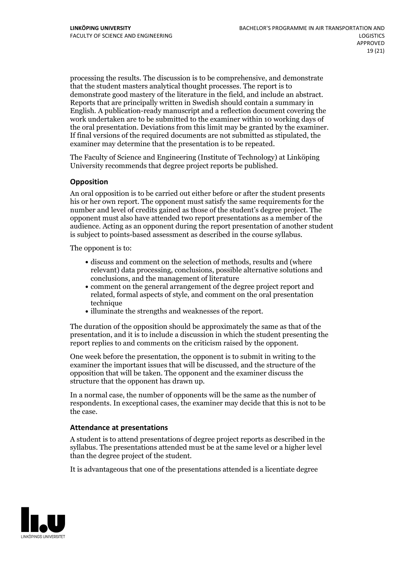processing the results. The discussion is to be comprehensive, and demonstrate that the student masters analytical thought processes. The report is to demonstrate good mastery of the literature in the field, and include an abstract. Reports that are principally written in Swedish should contain <sup>a</sup> summary in English. A publication-ready manuscript and a reflection document covering the work undertaken are to be submitted to the examiner within 10 working days of the oral presentation. Deviations from this limit may be granted by the examiner. If final versions of the required documents are not submitted as stipulated, the examiner may determine that the presentation is to be repeated.

The Faculty of Science and Engineering (Institute of Technology) at Linköping University recommends that degree project reports be published.

#### **Opposition**

An oral opposition is to be carried out either before or after the student presents his or her own report. The opponent must satisfy the same requirements for the number and level of credits gained as those of the student's degree project. The opponent must also have attended two report presentations as a member of the audience. Acting as an opponent during the report presentation of another student is subject to points-based assessment as described in the course syllabus.

The opponent is to:

- discuss and comment on the selection of methods, results and (where relevant) data processing, conclusions, possible alternative solutions and conclusions, and the management of literature
- comment on the general arrangement of the degree project report and related, formal aspects of style, and comment on the oral presentation technique
- illuminate the strengths and weaknesses of the report.

The duration of the opposition should be approximately the same as that of the presentation, and it is to include a discussion in which the student presenting the report replies to and comments on the criticism raised by the opponent.

One week before the presentation, the opponent is to submit in writing to the examiner the important issues that will be discussed, and the structure of the opposition that will be taken. The opponent and the examiner discuss the structure that the opponent has drawn up.

In a normal case, the number of opponents will be the same as the number of respondents. In exceptional cases, the examiner may decide that this is not to be the case.

#### **Attendance at presentations**

A student is to attend presentations of degree project reports as described in the syllabus. The presentations attended must be atthe same level or a higher level than the degree project of the student.

It is advantageous that one of the presentations attended is a licentiate degree

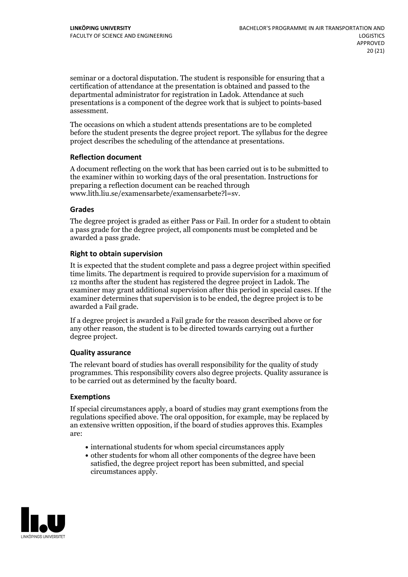seminar or a doctoral disputation. The student is responsible for ensuring that a certification of attendance at the presentation is obtained and passed to the departmental administrator for registration in Ladok. Attendance at such presentations is a component of the degree work that is subject to points-based assessment.

The occasions on which a student attends presentations are to be completed before the student presents the degree project report. The syllabus for the degree project describes the scheduling of the attendance at presentations.

#### **Reflection document**

A document reflecting on the work that has been carried out is to be submitted to the examiner within 10 working days of the oral presentation. Instructions for preparing a reflection document can be reached through www.lith.liu.se/examensarbete/examensarbete?l=sv.

#### **Grades**

The degree project is graded as either Pass or Fail. In order for a student to obtain a pass grade for the degree project, all components must be completed and be awarded a pass grade.

#### **Right to obtain supervision**

It is expected that the student complete and pass a degree project within specified time limits. The department is required to provide supervision for a maximum of 12 months after the student has registered the degree project in Ladok. The examiner may grant additional supervision after this period in special cases. If the examiner determines that supervision is to be ended, the degree project is to be awarded a Fail grade.

If a degree project is awarded a Fail grade for the reason described above or for any other reason, the student is to be directed towards carrying out a further degree project.

## **Quality assurance**

The relevant board of studies has overall responsibility for the quality of study programmes. This responsibility covers also degree projects. Quality assurance is to be carried out as determined by the faculty board.

#### **Exemptions**

If special circumstances apply, a board of studies may grant exemptions from the regulations specified above. The oral opposition, for example, may be replaced by an extensive written opposition, if the board of studies approves this. Examples are:

- international students for whom special circumstances apply
- other students for whom all other components of the degree have been satisfied, the degree project report has been submitted, and special circumstances apply.